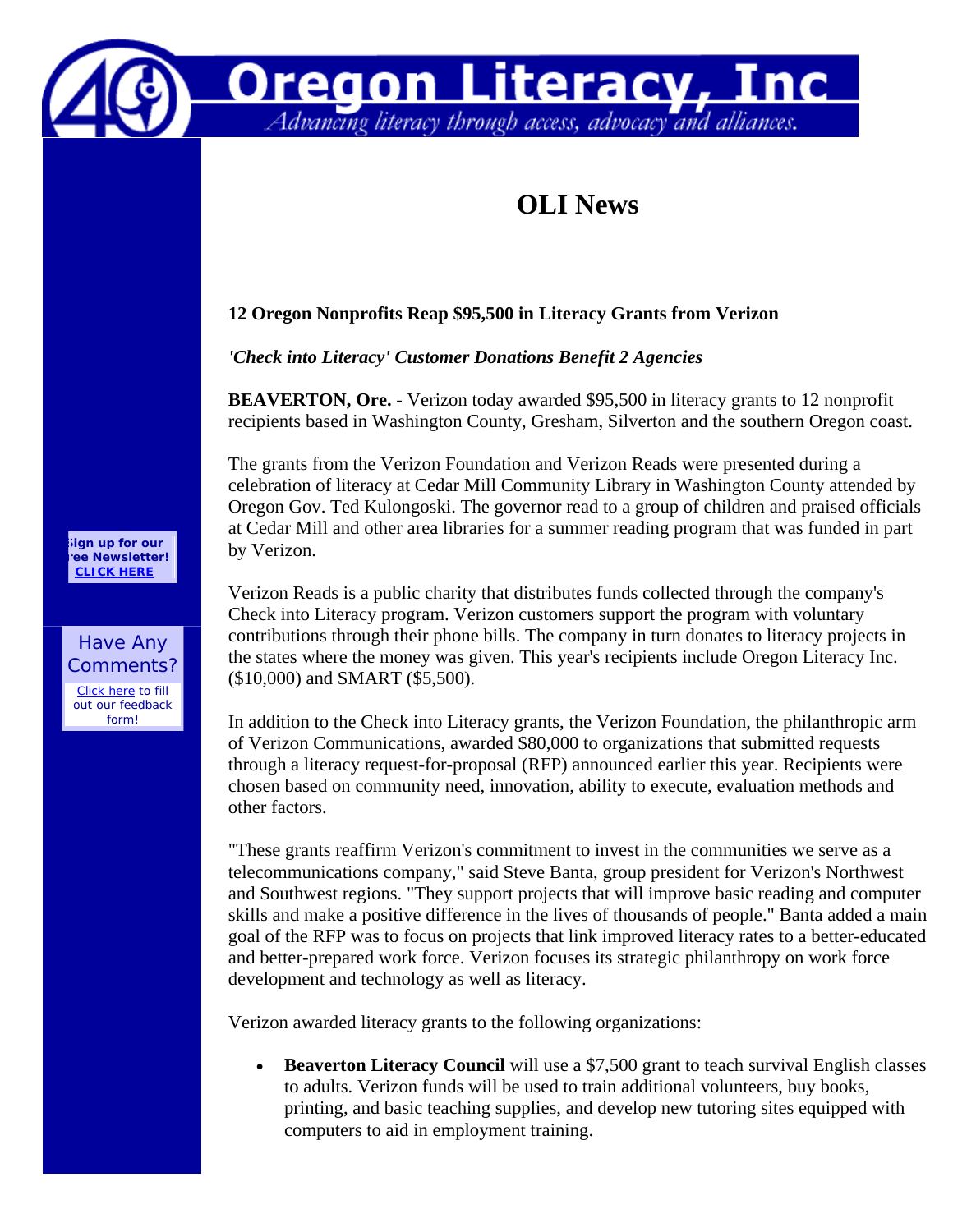

## **OLI News**

**Oregon Literacy, Inc.**<br>Advancing literacy through access, advocacy and alliances.

## **12 Oregon Nonprofits Reap \$95,500 in Literacy Grants from Verizon**

*'Check into Literacy' Customer Donations Benefit 2 Agencies*

**BEAVERTON, Ore.** - Verizon today awarded \$95,500 in literacy grants to 12 nonprofit recipients based in Washington County, Gresham, Silverton and the southern Oregon coast.

The grants from the Verizon Foundation and Verizon Reads were presented during a celebration of literacy at Cedar Mill Community Library in Washington County attended by Oregon Gov. Ted Kulongoski. The governor read to a group of children and praised officials at Cedar Mill and other area libraries for a summer reading program that was funded in part by Verizon.

Verizon Reads is a public charity that distributes funds collected through the company's Check into Literacy program. Verizon customers support the program with voluntary contributions through their phone bills. The company in turn donates to literacy projects in the states where the money was given. This year's recipients include Oregon Literacy Inc. (\$10,000) and SMART (\$5,500).

In addition to the Check into Literacy grants, the Verizon Foundation, the philanthropic arm of Verizon Communications, awarded \$80,000 to organizations that submitted requests through a literacy request-for-proposal (RFP) announced earlier this year. Recipients were chosen based on community need, innovation, ability to execute, evaluation methods and other factors.

"These grants reaffirm Verizon's commitment to invest in the communities we serve as a telecommunications company," said Steve Banta, group president for Verizon's Northwest and Southwest regions. "They support projects that will improve basic reading and computer skills and make a positive difference in the lives of thousands of people." Banta added a main goal of the RFP was to focus on projects that link improved literacy rates to a better-educated and better-prepared work force. Verizon focuses its strategic philanthropy on work force development and technology as well as literacy.

Verizon awarded literacy grants to the following organizations:

• **Beaverton Literacy Council** will use a \$7,500 grant to teach survival English classes to adults. Verizon funds will be used to train additional volunteers, buy books, printing, and basic teaching supplies, and develop new tutoring sites equipped with computers to aid in employment training.

**Sign up for our ree Newsletter! [CLICK HERE](http://www.oregonliteracy.org/news/publications/newsletter_signup_form.php)**

Have Any Comments?

[Click here](http://www.oregonliteracy.org/news/web/feedback_form.php) to fill out our feedback form!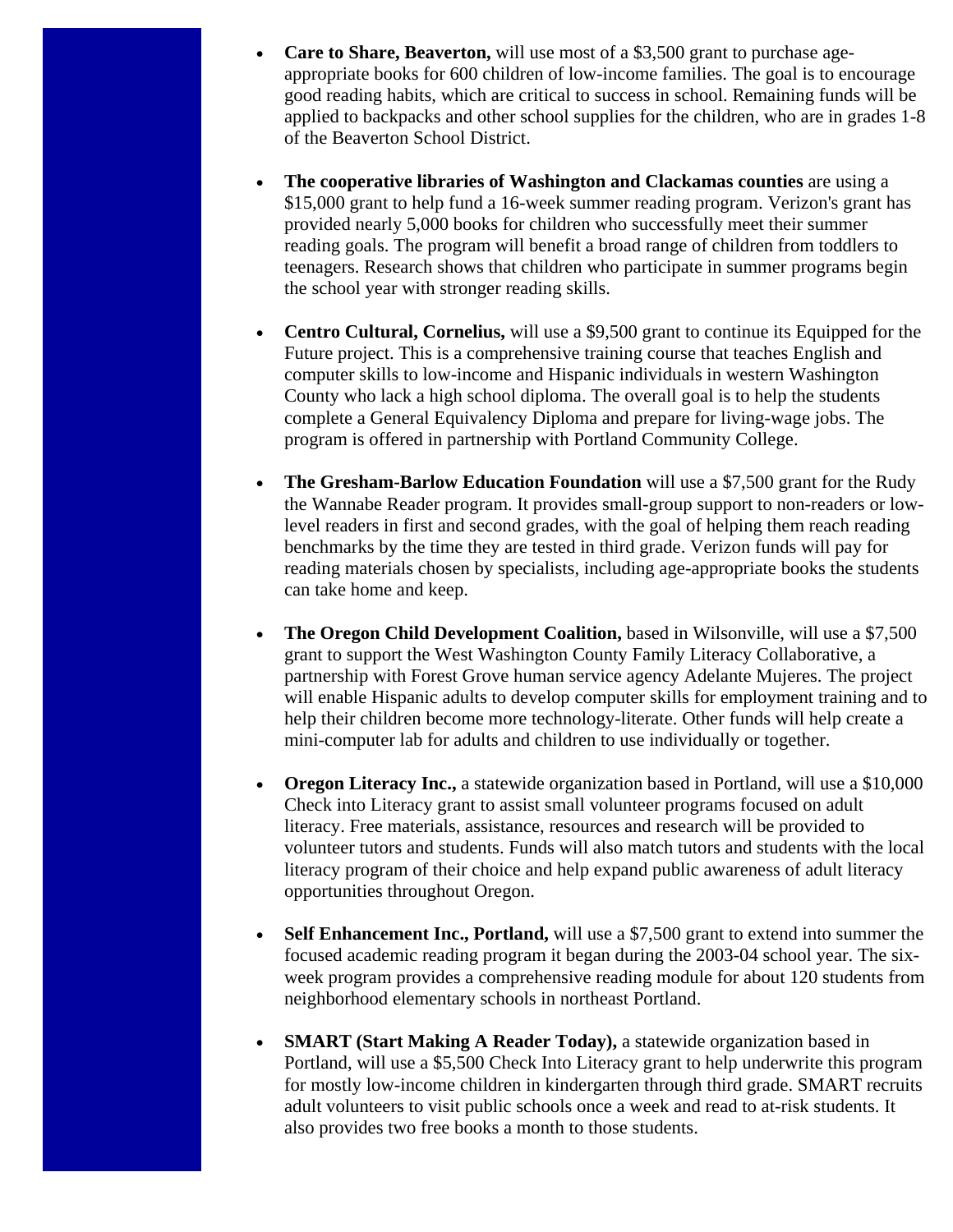- **Care to Share, Beaverton,** will use most of a \$3,500 grant to purchase ageappropriate books for 600 children of low-income families. The goal is to encourage good reading habits, which are critical to success in school. Remaining funds will be applied to backpacks and other school supplies for the children, who are in grades 1-8 of the Beaverton School District.
- **The cooperative libraries of Washington and Clackamas counties** are using a \$15,000 grant to help fund a 16-week summer reading program. Verizon's grant has provided nearly 5,000 books for children who successfully meet their summer reading goals. The program will benefit a broad range of children from toddlers to teenagers. Research shows that children who participate in summer programs begin the school year with stronger reading skills.
- **Centro Cultural, Cornelius,** will use a \$9,500 grant to continue its Equipped for the Future project. This is a comprehensive training course that teaches English and computer skills to low-income and Hispanic individuals in western Washington County who lack a high school diploma. The overall goal is to help the students complete a General Equivalency Diploma and prepare for living-wage jobs. The program is offered in partnership with Portland Community College.
- **The Gresham-Barlow Education Foundation** will use a \$7,500 grant for the Rudy the Wannabe Reader program. It provides small-group support to non-readers or lowlevel readers in first and second grades, with the goal of helping them reach reading benchmarks by the time they are tested in third grade. Verizon funds will pay for reading materials chosen by specialists, including age-appropriate books the students can take home and keep.
- **The Oregon Child Development Coalition,** based in Wilsonville, will use a \$7,500 grant to support the West Washington County Family Literacy Collaborative, a partnership with Forest Grove human service agency Adelante Mujeres. The project will enable Hispanic adults to develop computer skills for employment training and to help their children become more technology-literate. Other funds will help create a mini-computer lab for adults and children to use individually or together.
- **Oregon Literacy Inc.,** a statewide organization based in Portland, will use a \$10,000 Check into Literacy grant to assist small volunteer programs focused on adult literacy. Free materials, assistance, resources and research will be provided to volunteer tutors and students. Funds will also match tutors and students with the local literacy program of their choice and help expand public awareness of adult literacy opportunities throughout Oregon.
- **Self Enhancement Inc., Portland,** will use a \$7,500 grant to extend into summer the focused academic reading program it began during the 2003-04 school year. The sixweek program provides a comprehensive reading module for about 120 students from neighborhood elementary schools in northeast Portland.
- **SMART (Start Making A Reader Today),** a statewide organization based in Portland, will use a \$5,500 Check Into Literacy grant to help underwrite this program for mostly low-income children in kindergarten through third grade. SMART recruits adult volunteers to visit public schools once a week and read to at-risk students. It also provides two free books a month to those students.